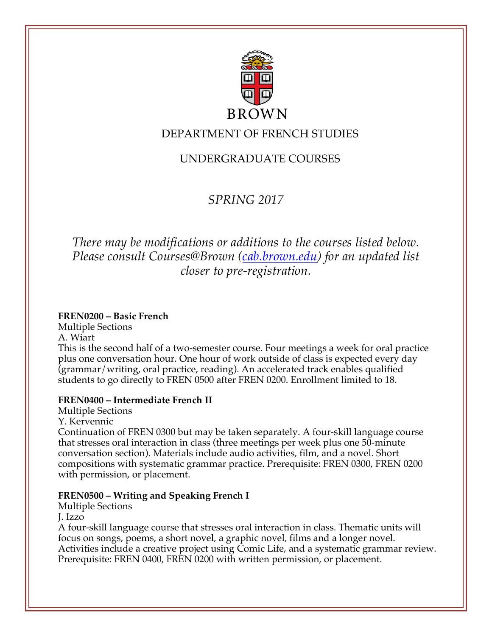

# DEPARTMENT OF FRENCH STUDIES

# UNDERGRADUATE COURSES

# *SPRING 2017*

# *There may be modifications or additions to the courses listed below. Please consult Courses@Brown (cab.brown.edu) for an updated list closer to pre-registration.*

## **FREN0200 – Basic French**

Multiple Sections

A. Wiart This is the second half of a two-semester course. Four meetings a week for oral practice plus one conversation hour. One hour of work outside of class is expected every day (grammar/writing, oral practice, reading). An accelerated track enables qualified students to go directly to FREN 0500 after FREN 0200. Enrollment limited to 18.

# **FREN0400 – Intermediate French II**

Multiple Sections

Y. Kervennic

Continuation of FREN 0300 but may be taken separately. A four-skill language course that stresses oral interaction in class (three meetings per week plus one 50-minute conversation section). Materials include audio activities, film, and a novel. Short compositions with systematic grammar practice. Prerequisite: FREN 0300, FREN 0200 with permission, or placement.

# **FREN0500 – Writing and Speaking French I**

Multiple Sections

J. Izzo

A four-skill language course that stresses oral interaction in class. Thematic units will focus on songs, poems, a short novel, a graphic novel, films and a longer novel. Activities include a creative project using Comic Life, and a systematic grammar review. Prerequisite: FREN 0400, FREN 0200 with written permission, or placement.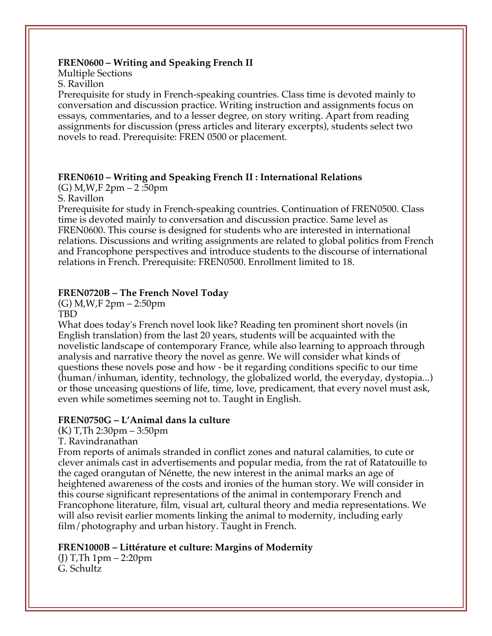#### **FREN0600 – Writing and Speaking French II**

Multiple Sections S. Ravillon

Prerequisite for study in French-speaking countries. Class time is devoted mainly to conversation and discussion practice. Writing instruction and assignments focus on essays, commentaries, and to a lesser degree, on story writing. Apart from reading assignments for discussion (press articles and literary excerpts), students select two novels to read. Prerequisite: FREN 0500 or placement.

#### **FREN0610 – Writing and Speaking French II : International Relations**

(G) M,W,F 2pm – 2 :50pm

S. Ravillon

Prerequisite for study in French-speaking countries. Continuation of FREN0500. Class time is devoted mainly to conversation and discussion practice. Same level as FREN0600. This course is designed for students who are interested in international relations. Discussions and writing assignments are related to global politics from French and Francophone perspectives and introduce students to the discourse of international relations in French. Prerequisite: FREN0500. Enrollment limited to 18.

#### **FREN0720B – The French Novel Today**

(G) M,W,F 2pm – 2:50pm

TBD

What does today's French novel look like? Reading ten prominent short novels (in English translation) from the last 20 years, students will be acquainted with the novelistic landscape of contemporary France, while also learning to approach through analysis and narrative theory the novel as genre. We will consider what kinds of questions these novels pose and how - be it regarding conditions specific to our time (human/inhuman, identity, technology, the globalized world, the everyday, dystopia...) or those unceasing questions of life, time, love, predicament, that every novel must ask, even while sometimes seeming not to. Taught in English.

#### **FREN0750G – L'Animal dans la culture**

(K) T,Th 2:30pm – 3:50pm

T. Ravindranathan

From reports of animals stranded in conflict zones and natural calamities, to cute or clever animals cast in advertisements and popular media, from the rat of Ratatouille to the caged orangutan of Nénette, the new interest in the animal marks an age of heightened awareness of the costs and ironies of the human story. We will consider in this course significant representations of the animal in contemporary French and Francophone literature, film, visual art, cultural theory and media representations. We will also revisit earlier moments linking the animal to modernity, including early film/photography and urban history. Taught in French.

#### **FREN1000B – Littérature et culture: Margins of Modernity**

(J) T,Th 1pm – 2:20pm G. Schultz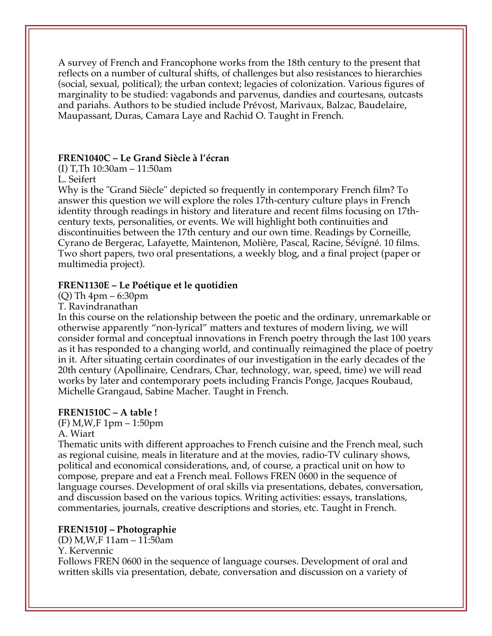A survey of French and Francophone works from the 18th century to the present that reflects on a number of cultural shifts, of challenges but also resistances to hierarchies (social, sexual, political); the urban context; legacies of colonization. Various figures of marginality to be studied: vagabonds and parvenus, dandies and courtesans, outcasts and pariahs. Authors to be studied include Prévost, Marivaux, Balzac, Baudelaire, Maupassant, Duras, Camara Laye and Rachid O. Taught in French.

### **FREN1040C – Le Grand Siècle à l'écran**

(I) T,Th 10:30am – 11:50am

L. Seifert

Why is the "Grand Siècle" depicted so frequently in contemporary French film? To answer this question we will explore the roles 17th-century culture plays in French identity through readings in history and literature and recent films focusing on 17thcentury texts, personalities, or events. We will highlight both continuities and discontinuities between the 17th century and our own time. Readings by Corneille, Cyrano de Bergerac, Lafayette, Maintenon, Molière, Pascal, Racine, Sévigné. 10 films. Two short papers, two oral presentations, a weekly blog, and a final project (paper or multimedia project).

### **FREN1130E – Le Poétique et le quotidien**

(Q) Th 4pm – 6:30pm

T. Ravindranathan

In this course on the relationship between the poetic and the ordinary, unremarkable or otherwise apparently "non-lyrical" matters and textures of modern living, we will consider formal and conceptual innovations in French poetry through the last 100 years as it has responded to a changing world, and continually reimagined the place of poetry in it. After situating certain coordinates of our investigation in the early decades of the 20th century (Apollinaire, Cendrars, Char, technology, war, speed, time) we will read works by later and contemporary poets including Francis Ponge, Jacques Roubaud, Michelle Grangaud, Sabine Macher. Taught in French.

## **FREN1510C – A table !**

(F) M,W,F 1pm – 1:50pm

### A. Wiart

Thematic units with different approaches to French cuisine and the French meal, such as regional cuisine, meals in literature and at the movies, radio-TV culinary shows, political and economical considerations, and, of course, a practical unit on how to compose, prepare and eat a French meal. Follows FREN 0600 in the sequence of language courses. Development of oral skills via presentations, debates, conversation, and discussion based on the various topics. Writing activities: essays, translations, commentaries, journals, creative descriptions and stories, etc. Taught in French.

## **FREN1510J – Photographie**

(D) M,W,F 11am – 11:50am

Y. Kervennic

Follows FREN 0600 in the sequence of language courses. Development of oral and written skills via presentation, debate, conversation and discussion on a variety of